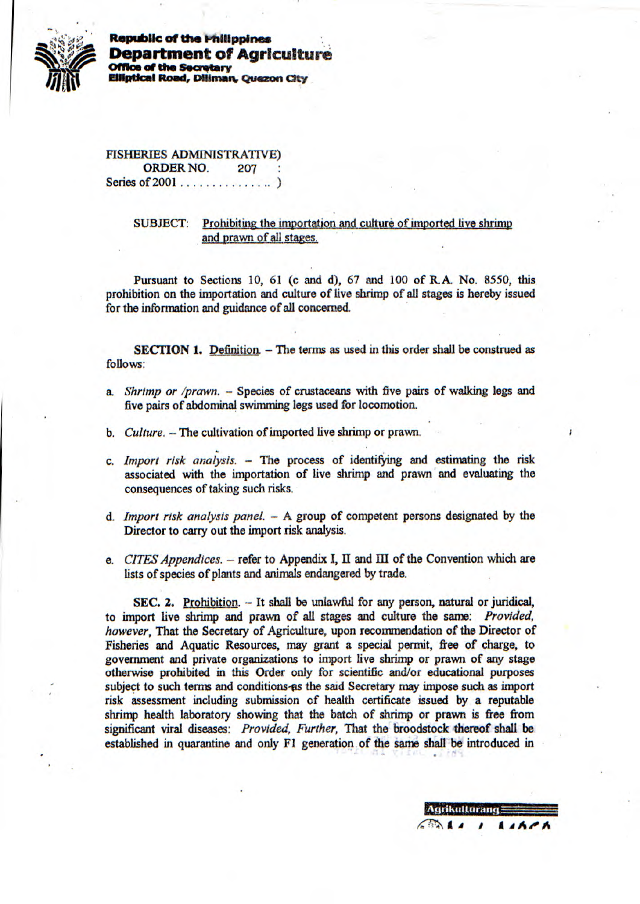

**Republic of the lnlftppines Department of Agriculture** *<u>office</u>* of the Secretary **Elliptical Road, Diliman, Quezon City** 

FISHERIES ADMINISTRATIVE) ORDER NO. 207 Series of 2001 . . . . . . . . . . . . .

> SUBJECT: Prohibiting the importation and culture of imported live shrimp and prawn of all *stages.*

Pursuant to Sections 10, 61 (c and d), 67 and 100 of R.A. No. 8550, this prohibition on the importation and culture of live shrimp of all stages is hereby issued for the intbrrnation *and* guidance of all concerned.

**SECTION 1.** Definition. - The terms as used in this order shall be construed as follows:

- *a. Shrimp or /prawn. Species of* crustaceans with five pairs *of walking* legs and five pairs of abdominal swimming legs used for locomotion.
- **b.** *Culture.* -- The cultivation of imported live shrimp or prawn.
- *c. Import risk analysis.* The process of identifying and estimating the risk associated with the importation of live shrimp and prawn and evaluating the consequences of taking such risks.
- *d. Import risk analysis panel. A* group of competent persons designated by the Director to carry out the import risk analysis.
- *e. CITES Appendices.* refer to Appendix I, **II** and **ifi** of the Convention which are lists of species of plants *and* animals endangered by trade.

SEC. 2. Prohibition. - It shall be unlawful for any person, natural or juridical, to import live shrimp and prawn of all stages and culture the same: *Provided, however,* That the Secretary of Agriculture, upon recommendation of the Director of Fisheries and Aquatic Resources, may grant a special permit, free of charge, to government and private organizations to import live shrimp or prawn of any stage otherwise prohibited in this Order only for scientific and/or educational purposes subject to such terms and conditions-es the said Secretary may impose such as import risk assessment including submission cf health certificate issued by a reputable shrimp health laboratory showing that *the batch of* shrimp or prawn is free from significant viral diseases: *Provided, Further, That the* broodstock thereof shalt be established in quarantine and only Fl generation. of the same shall be introduced in

Agrikulturang